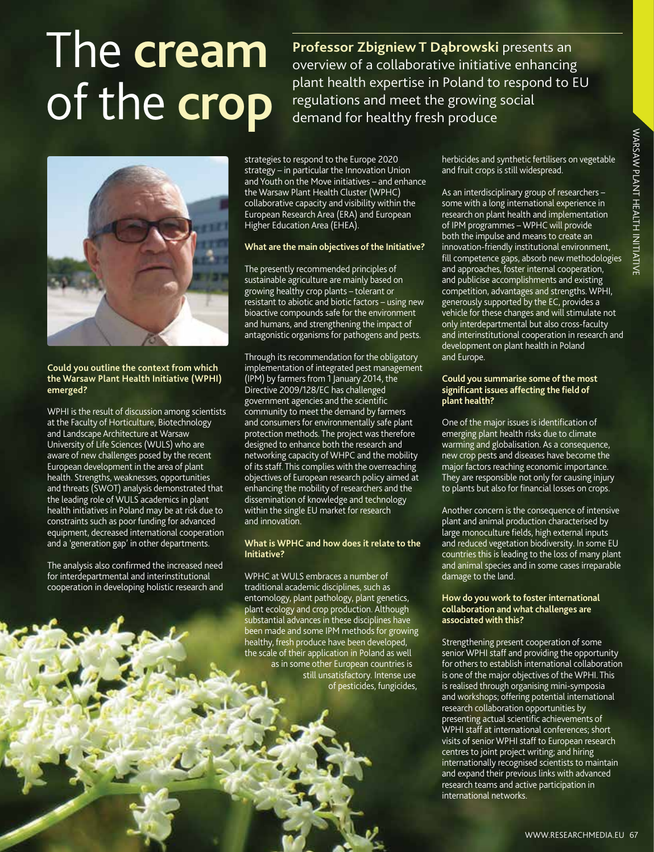# The **cream** of the **crop**

**Professor Zbigniew T Dąbrowski** presents an overview of a collaborative initiative enhancing plant health expertise in Poland to respond to EU regulations and meet the growing social demand for healthy fresh produce



#### **Could you outline the context from which the Warsaw Plant Health Initiative (WPHI) emerged?**

WPHI is the result of discussion among scientists at the Faculty of Horticulture, Biotechnology and Landscape Architecture at Warsaw University of Life Sciences (WULS) who are aware of new challenges posed by the recent European development in the area of plant health. Strengths, weaknesses, opportunities and threats (SWOT) analysis demonstrated that the leading role of WULS academics in plant health initiatives in Poland may be at risk due to constraints such as poor funding for advanced equipment, decreased international cooperation and a 'generation gap' in other departments.

The analysis also confirmed the increased need for interdepartmental and interinstitutional cooperation in developing holistic research and strategies to respond to the Europe 2020 strategy – in particular the Innovation Union and Youth on the Move initiatives – and enhance the Warsaw Plant Health Cluster (WPHC) collaborative capacity and visibility within the European Research Area (ERA) and European Higher Education Area (EHEA).

#### **What are the main objectives of the Initiative?**

The presently recommended principles of sustainable agriculture are mainly based on growing healthy crop plants – tolerant or resistant to abiotic and biotic factors – using new bioactive compounds safe for the environment and humans, and strengthening the impact of antagonistic organisms for pathogens and pests.

Through its recommendation for the obligatory implementation of integrated pest management (IPM) by farmers from 1 January 2014, the Directive 2009/128/EC has challenged government agencies and the scientific community to meet the demand by farmers and consumers for environmentally safe plant protection methods. The project was therefore designed to enhance both the research and networking capacity of WHPC and the mobility of its staff. This complies with the overreaching objectives of European research policy aimed at enhancing the mobility of researchers and the dissemination of knowledge and technology within the single EU market for research and innovation.

#### **What is WPHC and how does it relate to the Initiative?**

WPHC at WULS embraces a number of traditional academic disciplines, such as entomology, plant pathology, plant genetics, plant ecology and crop production. Although substantial advances in these disciplines have been made and some IPM methods for growing healthy, fresh produce have been developed, the scale of their application in Poland as well as in some other European countries is still unsatisfactory. Intense use of pesticides, fungicides,

herbicides and synthetic fertilisers on vegetable and fruit crops is still widespread.

As an interdisciplinary group of researchers – some with a long international experience in research on plant health and implementation of IPM programmes – WPHC will provide both the impulse and means to create an innovation-friendly institutional environment, fill competence gaps, absorb new methodologies and approaches, foster internal cooperation, and publicise accomplishments and existing competition, advantages and strengths. WPHI, generously supported by the EC, provides a vehicle for these changes and will stimulate not only interdepartmental but also cross-faculty and interinstitutional cooperation in research and development on plant health in Poland and Europe. ic fertilisers on vegetable<br>
idespread.<br>
Modespread.<br>
group of researchers –  $\frac{3}{2}$ <br>
national experience in<br>
thand implementation<br>
wPHC will provide<br>
means to create an<br>
ititutional environment,<br>
insternal cooperation,

#### **Could you summarise some of the most significant issues affecting the field of plant health?**

One of the major issues is identification of emerging plant health risks due to climate warming and globalisation. As a consequence, new crop pests and diseases have become the major factors reaching economic importance. They are responsible not only for causing injury to plants but also for financial losses on crops.

Another concern is the consequence of intensive plant and animal production characterised by large monoculture fields, high external inputs and reduced vegetation biodiversity. In some EU countries this is leading to the loss of many plant and animal species and in some cases irreparable damage to the land.

#### **How do you work to foster international collaboration and what challenges are associated with this?**

Strengthening present cooperation of some senior WPHI staff and providing the opportunity for others to establish international collaboration is one of the major objectives of the WPHI. This is realised through organising mini-symposia and workshops; offering potential international research collaboration opportunities by presenting actual scientific achievements of WPHI staff at international conferences; short visits of senior WPHI staff to European research centres to joint project writing; and hiring internationally recognised scientists to maintain and expand their previous links with advanced research teams and active participation in international networks.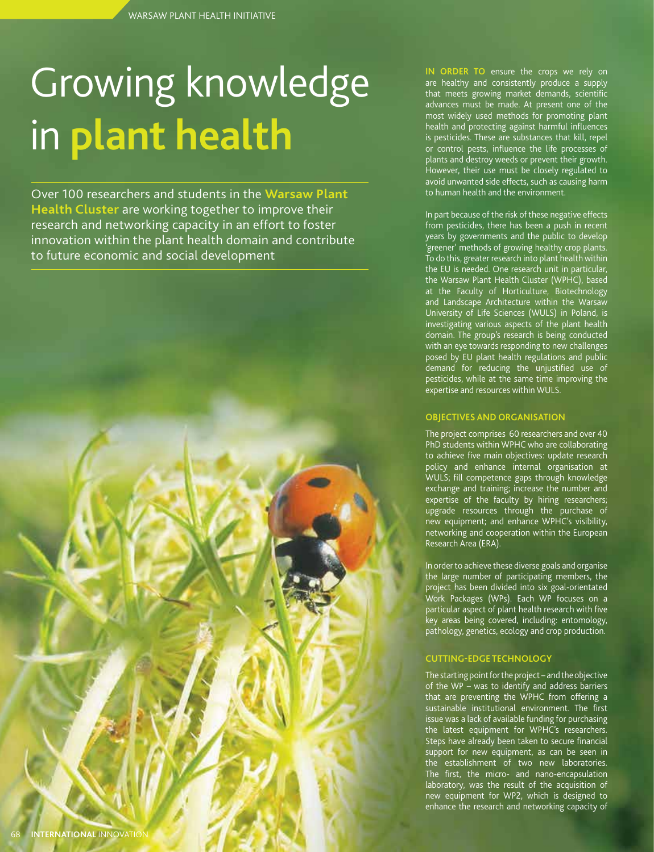## Growing knowledge in **plant health**

Over 100 researchers and students in the **Warsaw Plant Health Cluster** are working together to improve their research and networking capacity in an effort to foster innovation within the plant health domain and contribute to future economic and social development

**IN ORDER TO** ensure the crops we rely on are healthy and consistently produce a supply that meets growing market demands, scientific advances must be made. At present one of the most widely used methods for promoting plant health and protecting against harmful influences is pesticides. These are substances that kill, repel or control pests, influence the life processes of plants and destroy weeds or prevent their growth. However, their use must be closely regulated to avoid unwanted side effects, such as causing harm to human health and the environment.

In part because of the risk of these negative effects from pesticides, there has been a push in recent years by governments and the public to develop 'greener' methods of growing healthy crop plants. To do this, greater research into plant health within the EU is needed. One research unit in particular, the Warsaw Plant Health Cluster (WPHC), based at the Faculty of Horticulture, Biotechnology and Landscape Architecture within the Warsaw University of Life Sciences (WULS) in Poland, is investigating various aspects of the plant health domain. The group's research is being conducted with an eye towards responding to new challenges posed by EU plant health regulations and public demand for reducing the unjustified use of pesticides, while at the same time improving the expertise and resources within WULS.

#### **OBJECTIVES AND ORGANISATION**

The project comprises 60 researchers and over 40 PhD students within WPHC who are collaborating to achieve five main objectives: update research policy and enhance internal organisation at WULS; fill competence gaps through knowledge exchange and training; increase the number and expertise of the faculty by hiring researchers; upgrade resources through the purchase of new equipment; and enhance WPHC's visibility, networking and cooperation within the European Research Area (ERA).

In order to achieve these diverse goals and organise the large number of participating members, the project has been divided into six goal-orientated Work Packages (WPs). Each WP focuses on a particular aspect of plant health research with five key areas being covered, including: entomology, pathology, genetics, ecology and crop production.

#### **CUTTING-EDGE TECHNOLOGY**

The starting point for the project – and the objective of the WP – was to identify and address barriers that are preventing the WPHC from offering a sustainable institutional environment. The first issue was a lack of available funding for purchasing the latest equipment for WPHC's researchers. Steps have already been taken to secure financial support for new equipment, as can be seen in the establishment of two new laboratories. The first, the micro- and nano-encapsulation laboratory, was the result of the acquisition of new equipment for WP2, which is designed to enhance the research and networking capacity of